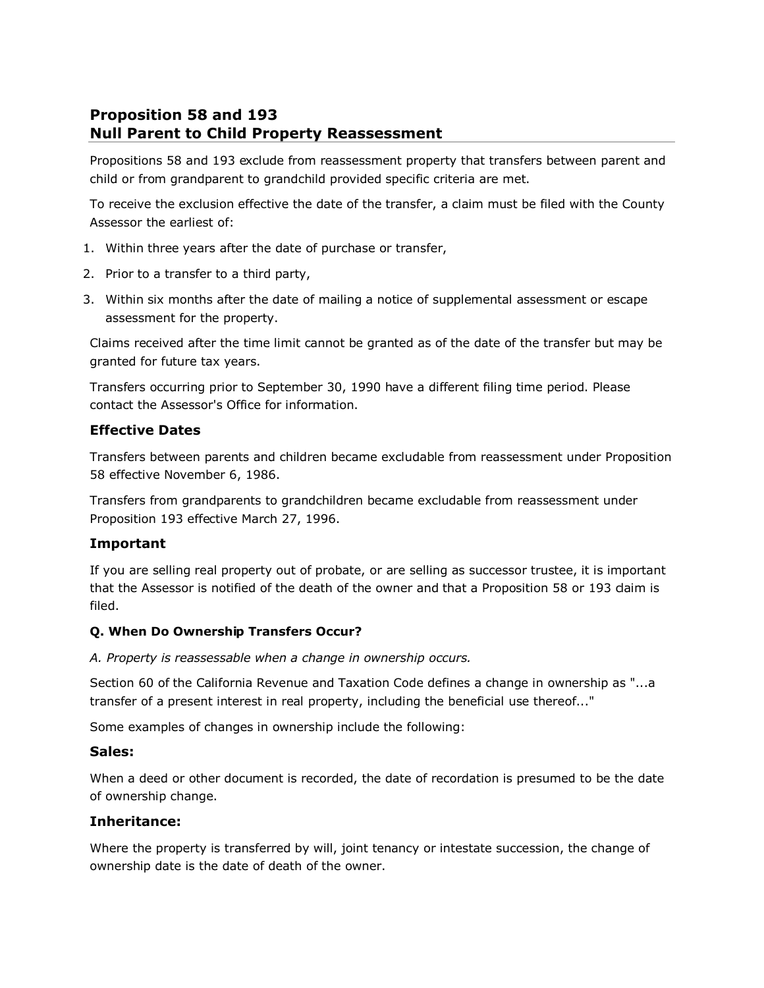# **Proposition 58 and 193 Null Parent to Child Property Reassessment**

Propositions 58 and 193 exclude from reassessment property that transfers between parent and child or from grandparent to grandchild provided specific criteria are met.

To receive the exclusion effective the date of the transfer, a claim must be filed with the County Assessor the earliest of:

- 1. Within three years after the date of purchase or transfer,
- 2. Prior to a transfer to a third party,
- 3. Within six months after the date of mailing a notice of supplemental assessment or escape assessment for the property.

Claims received after the time limit cannot be granted as of the date of the transfer but may be granted for future tax years.

Transfers occurring prior to September 30, 1990 have a different filing time period. Please contact the Assessor's Office for information.

### **Effective Dates**

Transfers between parents and children became excludable from reassessment under Proposition 58 effective November 6, 1986.

Transfers from grandparents to grandchildren became excludable from reassessment under Proposition 193 effective March 27, 1996.

### **Important**

If you are selling real property out of probate, or are selling as successor trustee, it is important that the Assessor is notified of the death of the owner and that a Proposition 58 or 193 claim is filed.

#### **Q. When Do Ownership Transfers Occur?**

*A. Property is reassessable when a change in ownership occurs.*

Section 60 of the California Revenue and Taxation Code defines a change in ownership as "...a transfer of a present interest in real property, including the beneficial use thereof..."

Some examples of changes in ownership include the following:

#### **Sales:**

When a deed or other document is recorded, the date of recordation is presumed to be the date of ownership change.

### **Inheritance:**

Where the property is transferred by will, joint tenancy or intestate succession, the change of ownership date is the date of death of the owner.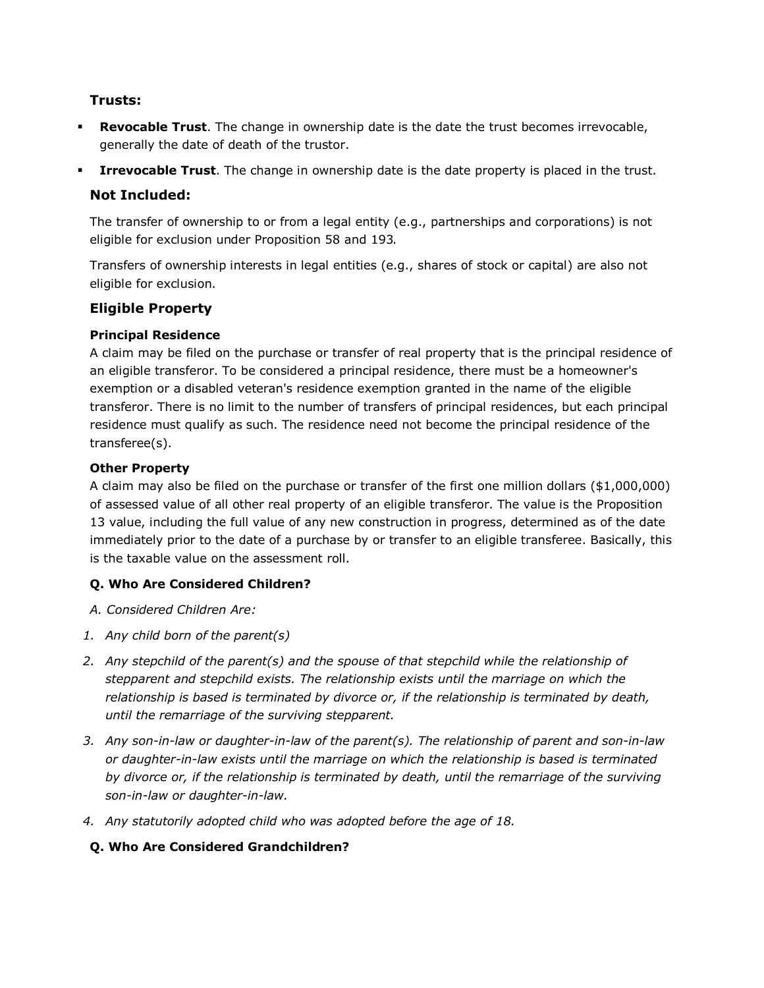### **Trusts:**

- **Revocable Trust**. The change in ownership date is the date the trust becomes irrevocable, generally the date of death of the trustor.
- **Irrevocable Trust**. The change in ownership date is the date property is placed in the trust.

### **Not Included:**

The transfer of ownership to or from a legal entity (e.g., partnerships and corporations) is not eligible for exclusion under Proposition 58 and 193.

Transfers of ownership interests in legal entities (e.g., shares of stock or capital) are also not eligible for exclusion.

### **Eligible Property**

### **Principal Residence**

A claim may be filed on the purchase or transfer of real property that is the principal residence of an eligible transferor. To be considered a principal residence, there must be a homeowner's exemption or a disabled veteran's residence exemption granted in the name of the eligible transferor. There is no limit to the number of transfers of principal residences, but each principal residence must qualify as such. The residence need not become the principal residence of the transferee(s).

#### **Other Property**

A claim may also be filed on the purchase or transfer of the first one million dollars (\$1,000,000) of assessed value of all other real property of an eligible transferor. The value is the Proposition 13 value, including the full value of any new construction in progress, determined as of the date immediately prior to the date of a purchase by or transfer to an eligible transferee. Basically, this is the taxable value on the assessment roll.

### **Q. Who Are Considered Children?**

*A. Considered Children Are:*

- *1. Any child born of the parent(s)*
- *2. Any stepchild of the parent(s) and the spouse of that stepchild while the relationship of stepparent and stepchild exists. The relationship exists until the marriage on which the relationship is based is terminated by divorce or, if the relationship is terminated by death, until the remarriage of the surviving stepparent.*
- *3. Any son-in-law or daughter-in-law of the parent(s). The relationship of parent and son-in-law or daughter-in-law exists until the marriage on which the relationship is based is terminated by divorce or, if the relationship is terminated by death, until the remarriage of the surviving son-in-law or daughter-in-law.*
- *4. Any statutorily adopted child who was adopted before the age of 18.*

### **Q. Who Are Considered Grandchildren?**